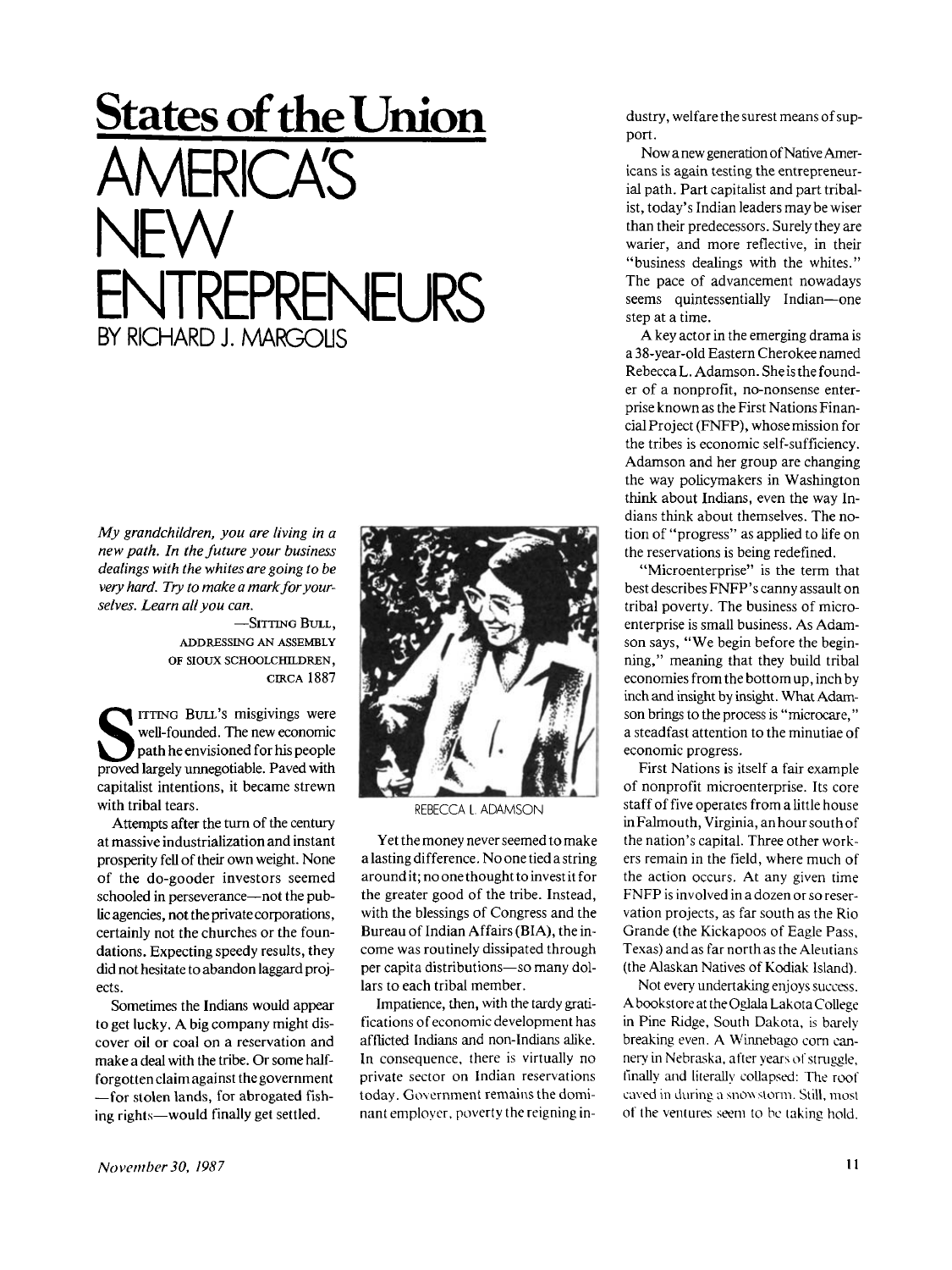## **States of the Union**  AMERICA'S NEW ENTREPRENEURS<br>BY RICHARD J. MARGOLIS

*My grandchildren, you are living in a new path. In the future your business dealings with the whites are going to be very hard. Try to make a mark for yourselves. Learn all you can.* 

> **—SITTING BULL, ADDRESSING AN ASSEMBLY OF SIOUX SCHOOLCHILDREN, CIRCA 188 7**

**S proved largely unnegotiable. Paved with pavel for the proved largely unnegotiable. Paved with ITTING BULL'S misgivings were well-founded. The new economic path he envisioned for his people capitalist intentions, it became strewn with tribal tears.** 

**Attempts after the turn of the century at massive industrialization and instant prosperity fell of their own weight. None of the do-gooder investors seemed schooled in perseverance—not the public agencies, not the private corporations, certainly not the churches or the foundations. Expecting speedy results, they did not hesitate to abandon laggard projects.** 

**Sometimes the Indians would appear to get lucky. A big company might discover oil or coal on a reservation and make a deal with the tribe. Or some halfforgotten claim against thegovernment —for stolen lands, for abrogated fishing rights—would finally get settled.** 



REBECCA L. ADAMSON

**Yet the money never seemed to make a lasting difference. No one tied a string around it; no one thought to invest it for the greater good of the tribe. Instead, with the blessings of Congress and the Bureau of Indian Affairs (BIA), the income was routinely dissipated through per capita distributions—so many dollars to each tribal member.** 

**Impatience, then, with the tardy gratifications of economic development has afflicted Indians and non-Indians alike. In consequence, there is virtually no private sector on Indian reservations today. Government remains the dominant employer, poverty the reigning in-** **dustry, welfare the surest means of support.** 

**Now a new generation of Native Americans is again testing the entrepreneurial path. Part capitalist and part tribalist, today's Indian leaders may be wiser than their predecessors. Surely they are warier, and more reflective, in their "business dealings with the whites." The pace of advancement nowadays seems quintessentially Indian—one step at a time.** 

**A key actor in the emerging drama is a 38-year-old Eastern Cherokee named Rebecca L. Adamson. She is the founder of a nonprofit, no-nonsense enterprise known as the First Nations Financial Project (FNFP), whose mission for the tribes is economic self-sufficiency. Adamson and her group are changing the way policymakers in Washington think about Indians, even the way Indians think about themselves. The notion of "progress" as applied to life on the reservations is being redefined.** 

**"Microenterprise" is the term that best describes FNFP's canny assault on tribal poverty. The business of microenterprise is small business. As Adamson says, "We begin before the beginning," meaning that they build tribal economies from the bottom up, inch by inch and insight by insight. What Adamson brings to the process is "microcare," a steadfast attention to the minutiae of economic progress.** 

**First Nations is itself a fair example of nonprofit microenterprise. Its core staff of five operates from a little house inFalmouth, Virginia, anhoursouthof the nation's capital. Three other workers remain in the field, where much of the action occurs. At any given time FNFP is involved in a dozen or so reservation projects, as far south as the Rio Grande (the Kickapoos of Eagle Pass, Texas) and as far north as the Aleutians (the Alaskan Natives of Kodiak Island).** 

**Not every undertaking enjoys success. A bookstore at the Oglala Lakota College in Pine Ridge, South Dakota, is barely breaking even. A Winnebago corn cannery in Nebraska, after years of struggle, finally and literally collapsed: The roof caved in during a snow storm. Still, mosl of the ventures seem to be laking hold.**